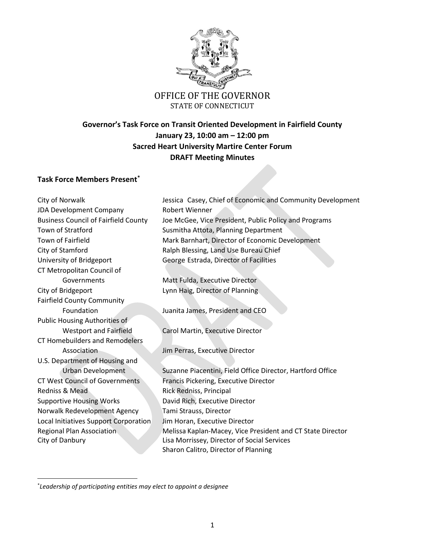

# OFFICE OF THE GOVERNOR STATE OF CONNECTICUT

# **Governor's Task Force on Transit Oriented Development in Fairfield County January 23, 10:00 am – 12:00 pm Sacred Heart University Martire Center Forum DRAFT Meeting Minutes**

## **Task Force Members Present\***

| City of Norwalk                             | Jessica Casey, Chief of Economic and Community Development |
|---------------------------------------------|------------------------------------------------------------|
| JDA Development Company                     | Robert Wienner                                             |
| <b>Business Council of Fairfield County</b> | Joe McGee, Vice President, Public Policy and Programs      |
| Town of Stratford                           | Susmitha Attota, Planning Department                       |
| Town of Fairfield                           | Mark Barnhart, Director of Economic Development            |
| City of Stamford                            | Ralph Blessing, Land Use Bureau Chief                      |
| University of Bridgeport                    | George Estrada, Director of Facilities                     |
| CT Metropolitan Council of                  |                                                            |
| Governments                                 | Matt Fulda, Executive Director                             |
| City of Bridgeport                          | Lynn Haig, Director of Planning                            |
| <b>Fairfield County Community</b>           |                                                            |
| Foundation                                  | Juanita James, President and CEO                           |
| Public Housing Authorities of               |                                                            |
| <b>Westport and Fairfield</b>               | Carol Martin, Executive Director                           |
| <b>CT Homebuilders and Remodelers</b>       |                                                            |
| Association                                 | Jim Perras, Executive Director                             |
| U.S. Department of Housing and              |                                                            |
| <b>Urban Development</b>                    | Suzanne Piacentini, Field Office Director, Hartford Office |
| <b>CT West Council of Governments</b>       | Francis Pickering, Executive Director                      |
| Redniss & Mead                              | Rick Redniss, Principal                                    |
| <b>Supportive Housing Works</b>             | David Rich, Executive Director                             |
| Norwalk Redevelopment Agency                | Tami Strauss, Director                                     |
| Local Initiatives Support Corporation       | Jim Horan, Executive Director                              |
| <b>Regional Plan Association</b>            | Melissa Kaplan-Macey, Vice President and CT State Director |
| City of Danbury                             | Lisa Morrissey, Director of Social Services                |
|                                             | Sharon Calitro, Director of Planning                       |

\* *Leadership of participating entities may elect to appoint a designee*

 $\overline{\phantom{a}}$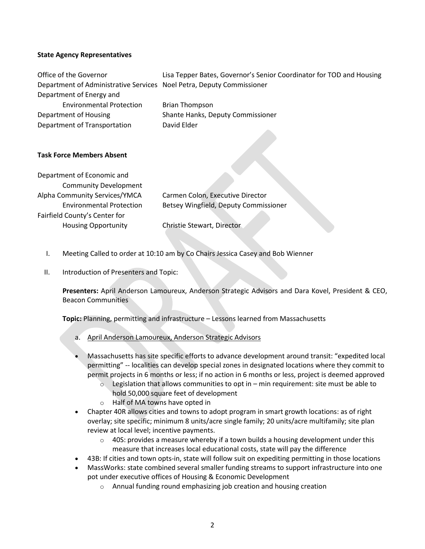#### **State Agency Representatives**

| Office of the Governor                                                | Lisa Tepper Bates, Governor's Senior Coordinator for TOD and Housing |
|-----------------------------------------------------------------------|----------------------------------------------------------------------|
| Department of Administrative Services Noel Petra, Deputy Commissioner |                                                                      |
| Department of Energy and                                              |                                                                      |
| <b>Environmental Protection</b>                                       | <b>Brian Thompson</b>                                                |
| Department of Housing                                                 | Shante Hanks, Deputy Commissioner                                    |
| Department of Transportation                                          | David Elder                                                          |
|                                                                       |                                                                      |
| <b>Task Force Members Absent</b>                                      |                                                                      |
| Department of Economic and                                            |                                                                      |
| <b>Community Development</b>                                          |                                                                      |
| Alpha Community Services/YMCA                                         | Carmen Colon, Executive Director                                     |
| <b>Environmental Protection</b>                                       | Betsey Wingfield, Deputy Commissioner                                |
| Fairfield County's Center for                                         |                                                                      |
| <b>Housing Opportunity</b>                                            | Christie Stewart, Director                                           |
|                                                                       |                                                                      |

- I. Meeting Called to order at 10:10 am by Co Chairs Jessica Casey and Bob Wienner
- II. Introduction of Presenters and Topic:

**Presenters:** April Anderson Lamoureux, Anderson Strategic Advisors and Dara Kovel, President & CEO, Beacon Communities

**Topic:** Planning, permitting and infrastructure – Lessons learned from Massachusetts

- a. April Anderson Lamoureux, Anderson Strategic Advisors
- Massachusetts has site specific efforts to advance development around transit: "expedited local permitting" -- localities can develop special zones in designated locations where they commit to permit projects in 6 months or less; if no action in 6 months or less, project is deemed approved
	- $\circ$  Legislation that allows communities to opt in min requirement: site must be able to hold 50,000 square feet of development
	- o Half of MA towns have opted in
- Chapter 40R allows cities and towns to adopt program in smart growth locations: as of right overlay; site specific; minimum 8 units/acre single family; 20 units/acre multifamily; site plan review at local level; incentive payments.
	- $\circ$  40S: provides a measure whereby if a town builds a housing development under this measure that increases local educational costs, state will pay the difference
- 43B: If cities and town opts-in, state will follow suit on expediting permitting in those locations
- MassWorks: state combined several smaller funding streams to support infrastructure into one pot under executive offices of Housing & Economic Development
	- o Annual funding round emphasizing job creation and housing creation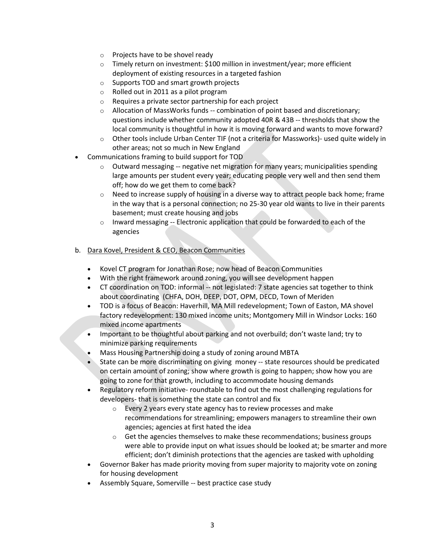- o Projects have to be shovel ready
- o Timely return on investment: \$100 million in investment/year; more efficient deployment of existing resources in a targeted fashion
- o Supports TOD and smart growth projects
- o Rolled out in 2011 as a pilot program
- o Requires a private sector partnership for each project
- $\circ$  Allocation of MassWorks funds -- combination of point based and discretionary; questions include whether community adopted 40R & 43B -- thresholds that show the local community is thoughtful in how it is moving forward and wants to move forward?
- $\circ$  Other tools include Urban Center TIF (not a criteria for Massworks)- used quite widely in other areas; not so much in New England
- Communications framing to build support for TOD
	- $\circ$  Outward messaging -- negative net migration for many years; municipalities spending large amounts per student every year; educating people very well and then send them off; how do we get them to come back?
	- $\circ$  Need to increase supply of housing in a diverse way to attract people back home; frame in the way that is a personal connection; no 25-30 year old wants to live in their parents basement; must create housing and jobs
	- o Inward messaging -- Electronic application that could be forwarded to each of the agencies

#### b. Dara Kovel, President & CEO, Beacon Communities

- Kovel CT program for Jonathan Rose; now head of Beacon Communities
- With the right framework around zoning, you will see development happen
- CT coordination on TOD: informal -- not legislated: 7 state agencies sat together to think about coordinating (CHFA, DOH, DEEP, DOT, OPM, DECD, Town of Meriden
- TOD is a focus of Beacon: Haverhill, MA Mill redevelopment; Town of Easton, MA shovel factory redevelopment: 130 mixed income units; Montgomery Mill in Windsor Locks: 160 mixed income apartments
- Important to be thoughtful about parking and not overbuild; don't waste land; try to minimize parking requirements
- Mass Housing Partnership doing a study of zoning around MBTA
- State can be more discriminating on giving money -- state resources should be predicated on certain amount of zoning; show where growth is going to happen; show how you are going to zone for that growth, including to accommodate housing demands
- Regulatory reform initiative- roundtable to find out the most challenging regulations for developers- that is something the state can control and fix
	- o Every 2 years every state agency has to review processes and make recommendations for streamlining; empowers managers to streamline their own agencies; agencies at first hated the idea
	- o Get the agencies themselves to make these recommendations; business groups were able to provide input on what issues should be looked at; be smarter and more efficient; don't diminish protections that the agencies are tasked with upholding
- Governor Baker has made priority moving from super majority to majority vote on zoning for housing development
- Assembly Square, Somerville -- best practice case study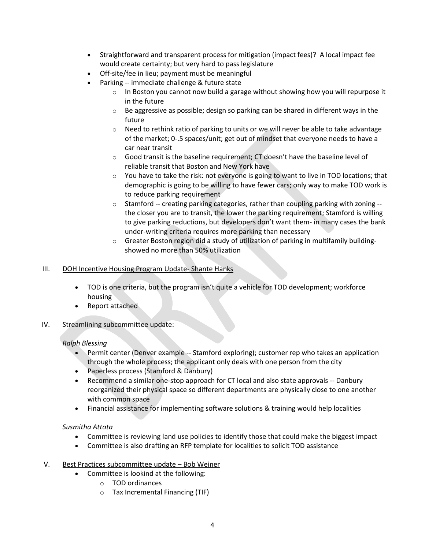- Straightforward and transparent process for mitigation (impact fees)? A local impact fee would create certainty; but very hard to pass legislature
- Off-site/fee in lieu; payment must be meaningful
- Parking -- immediate challenge & future state
	- $\circ$  In Boston you cannot now build a garage without showing how you will repurpose it in the future
	- $\circ$  Be aggressive as possible; design so parking can be shared in different ways in the future
	- $\circ$  Need to rethink ratio of parking to units or we will never be able to take advantage of the market; 0-.5 spaces/unit; get out of mindset that everyone needs to have a car near transit
	- $\circ$  Good transit is the baseline requirement; CT doesn't have the baseline level of reliable transit that Boston and New York have
	- $\circ$  You have to take the risk: not everyone is going to want to live in TOD locations; that demographic is going to be willing to have fewer cars; only way to make TOD work is to reduce parking requirement
	- $\circ$  Stamford -- creating parking categories, rather than coupling parking with zoning -the closer you are to transit, the lower the parking requirement; Stamford is willing to give parking reductions, but developers don't want them- in many cases the bank under-writing criteria requires more parking than necessary
	- $\circ$  Greater Boston region did a study of utilization of parking in multifamily buildingshowed no more than 50% utilization

#### III. DOH Incentive Housing Program Update- Shante Hanks

- TOD is one criteria, but the program isn't quite a vehicle for TOD development; workforce housing
- Report attached
- IV. Streamlining subcommittee update:

### *Ralph Blessing*

- Permit center (Denver example -- Stamford exploring); customer rep who takes an application through the whole process; the applicant only deals with one person from the city
- Paperless process (Stamford & Danbury)
- Recommend a similar one-stop approach for CT local and also state approvals -- Danbury reorganized their physical space so different departments are physically close to one another with common space
- Financial assistance for implementing software solutions & training would help localities

### *Susmitha Attota*

- Committee is reviewing land use policies to identify those that could make the biggest impact
- Committee is also drafting an RFP template for localities to solicit TOD assistance

#### V. Best Practices subcommittee update – Bob Weiner

- Committee is lookind at the following:
	- o TOD ordinances
	- o Tax Incremental Financing (TIF)